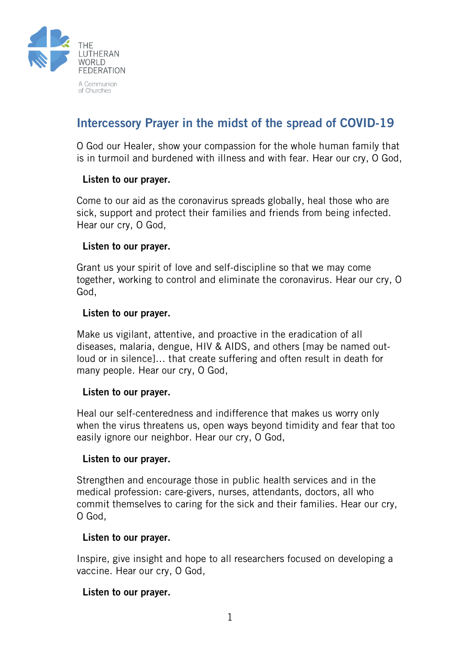

# Intercessory Prayer in the midst of the spread of COVID-19

O God our Healer, show your compassion for the whole human family that is in turmoil and burdened with illness and with fear. Hear our cry, O God,

## Listen to our prayer.

Come to our aid as the coronavirus spreads globally, heal those who are sick, support and protect their families and friends from being infected. Hear our cry, O God,

## Listen to our prayer.

Grant us your spirit of love and self-discipline so that we may come together, working to control and eliminate the coronavirus. Hear our cry, O God,

## Listen to our prayer.

Make us vigilant, attentive, and proactive in the eradication of all diseases, malaria, dengue, HIV & AIDS, and others [may be named outloud or in silence]… that create suffering and often result in death for many people. Hear our cry, O God,

#### Listen to our prayer.

Heal our self-centeredness and indifference that makes us worry only when the virus threatens us, open ways beyond timidity and fear that too easily ignore our neighbor. Hear our cry, O God,

#### Listen to our prayer.

Strengthen and encourage those in public health services and in the medical profession: care-givers, nurses, attendants, doctors, all who commit themselves to caring for the sick and their families. Hear our cry, O God,

#### Listen to our prayer.

Inspire, give insight and hope to all researchers focused on developing a vaccine. Hear our cry, O God,

## Listen to our prayer.